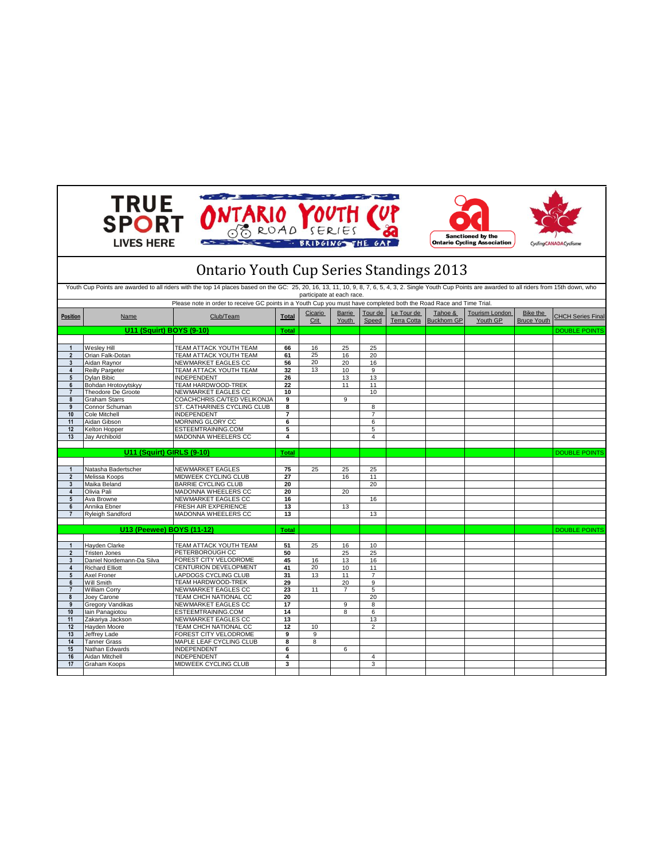| <b>TRUE<br/>SPORT</b><br>ONTARIO YOUTH CU<br><b>Sanctioned by the</b><br><b>LIVES HERE</b><br><b>BRIDGING</b><br><b>Ontario Cycling Association</b><br>CyclingCANADACyclisme |                                                                                                                                                                                                          |                                                                                                                     |                |                 |                        |                  |                                  |                               |                                   |                                |                          |
|------------------------------------------------------------------------------------------------------------------------------------------------------------------------------|----------------------------------------------------------------------------------------------------------------------------------------------------------------------------------------------------------|---------------------------------------------------------------------------------------------------------------------|----------------|-----------------|------------------------|------------------|----------------------------------|-------------------------------|-----------------------------------|--------------------------------|--------------------------|
|                                                                                                                                                                              | <b>Ontario Youth Cup Series Standings 2013</b>                                                                                                                                                           |                                                                                                                     |                |                 |                        |                  |                                  |                               |                                   |                                |                          |
|                                                                                                                                                                              | Youth Cup Points are awarded to all riders with the top 14 places based on the GC: 25, 20, 16, 13, 11, 10, 9, 8, 7, 6, 5, 4, 3, 2. Single Youth Cup Points are awarded to all riders from 15th down, who |                                                                                                                     |                |                 |                        |                  |                                  |                               |                                   |                                |                          |
|                                                                                                                                                                              | participate at each race.                                                                                                                                                                                |                                                                                                                     |                |                 |                        |                  |                                  |                               |                                   |                                |                          |
|                                                                                                                                                                              |                                                                                                                                                                                                          | Please note in order to receive GC points in a Youth Cup you must have completed both the Road Race and Time Trial. |                |                 |                        |                  |                                  |                               |                                   |                                |                          |
| Position                                                                                                                                                                     | Name                                                                                                                                                                                                     | Club/Team                                                                                                           | <b>Total</b>   | Cicario<br>Crit | <b>Barrie</b><br>Youth | Tour de<br>Speed | Le Tour de<br><b>Terra Cotta</b> | Tahoe &<br><b>Buckhorn GP</b> | <b>Tourism London</b><br>Youth GP | Bike the<br><b>Bruce Youth</b> | <b>CHCH Series Final</b> |
|                                                                                                                                                                              | U11 (Squirt) BOYS (9-10)                                                                                                                                                                                 |                                                                                                                     | Total          |                 |                        |                  |                                  |                               |                                   |                                | <b>DOUBLE POINTS</b>     |
|                                                                                                                                                                              |                                                                                                                                                                                                          |                                                                                                                     |                |                 |                        |                  |                                  |                               |                                   |                                |                          |
| $\mathbf{1}$                                                                                                                                                                 | Wesley Hill                                                                                                                                                                                              | TEAM ATTACK YOUTH TEAM                                                                                              | 66             | 16              | 25                     | 25               |                                  |                               |                                   |                                |                          |
| $\overline{2}$                                                                                                                                                               | Orian Falk-Dotan                                                                                                                                                                                         | TEAM ATTACK YOUTH TEAM                                                                                              | 61             | 25              | 16                     | 20               |                                  |                               |                                   |                                |                          |
| 3                                                                                                                                                                            | Aidan Raynor<br><b>Reilly Pargeter</b>                                                                                                                                                                   | NEWMARKET EAGLES CC<br>TEAM ATTACK YOUTH TEAM                                                                       | 56<br>32       | 20              | 20<br>10               | 16<br>$_{9}$     |                                  |                               |                                   |                                |                          |
| 4<br>5                                                                                                                                                                       | Dylan Bibic                                                                                                                                                                                              | INDEPENDENT                                                                                                         | 26             | 13              | 13                     | 13               |                                  |                               |                                   |                                |                          |
| 6                                                                                                                                                                            | Bohdan Hrotovytskyy                                                                                                                                                                                      | TEAM HARDWOOD-TREK                                                                                                  | 22             |                 | 11                     | 11               |                                  |                               |                                   |                                |                          |
| $\overline{7}$                                                                                                                                                               | Theodore De Groote                                                                                                                                                                                       | NEWMARKET EAGLES CC                                                                                                 | 10             |                 |                        | 10               |                                  |                               |                                   |                                |                          |
| 8                                                                                                                                                                            | <b>Graham Starrs</b>                                                                                                                                                                                     | COACHCHRIS.CA/TED VELIKONJA                                                                                         | 9              |                 | 9                      |                  |                                  |                               |                                   |                                |                          |
| 9                                                                                                                                                                            | Connor Schuman                                                                                                                                                                                           | ST. CATHARINES CYCLING CLUB                                                                                         | 8              |                 |                        | 8                |                                  |                               |                                   |                                |                          |
| 10                                                                                                                                                                           | Cole Mitchell                                                                                                                                                                                            | <b>INDEPENDENT</b>                                                                                                  | $\overline{7}$ |                 |                        | $\overline{7}$   |                                  |                               |                                   |                                |                          |
| 11                                                                                                                                                                           | Aidan Gibson                                                                                                                                                                                             | <b>MORNING GLORY CC</b>                                                                                             | 6              |                 |                        | 6                |                                  |                               |                                   |                                |                          |
| 12                                                                                                                                                                           | Kelton Hopper                                                                                                                                                                                            | ESTEEMTRAINING.COM                                                                                                  | 5              |                 |                        | 5                |                                  |                               |                                   |                                |                          |
| 13                                                                                                                                                                           | Jay Archibold                                                                                                                                                                                            | MADONNA WHEELERS CC                                                                                                 | 4              |                 |                        | $\overline{4}$   |                                  |                               |                                   |                                |                          |
|                                                                                                                                                                              |                                                                                                                                                                                                          |                                                                                                                     |                |                 |                        |                  |                                  |                               |                                   |                                |                          |
|                                                                                                                                                                              | U11 (Squirt) GIRLS (9-10)                                                                                                                                                                                |                                                                                                                     | <b>Total</b>   |                 |                        |                  |                                  |                               |                                   |                                | <b>DOUBLE POINTS</b>     |
|                                                                                                                                                                              |                                                                                                                                                                                                          |                                                                                                                     |                |                 |                        |                  |                                  |                               |                                   |                                |                          |
| $\mathbf{1}$                                                                                                                                                                 | Natasha Badertscher                                                                                                                                                                                      | <b>NEWMARKET EAGLES</b>                                                                                             | 75             | 25              | 25                     | 25               |                                  |                               |                                   |                                |                          |
| $\overline{2}$                                                                                                                                                               | Melissa Koops                                                                                                                                                                                            | MIDWEEK CYCLING CLUB                                                                                                | 27             |                 | 16                     | 11               |                                  |                               |                                   |                                |                          |
| 3                                                                                                                                                                            | Maika Beland                                                                                                                                                                                             | <b>BARRIE CYCLING CLUB</b>                                                                                          | 20             |                 |                        | 20               |                                  |                               |                                   |                                |                          |
| $\overline{\mathbf{4}}$                                                                                                                                                      | Olivia Pali                                                                                                                                                                                              | MADONNA WHEELERS CC                                                                                                 | 20             |                 | 20                     |                  |                                  |                               |                                   |                                |                          |
| 5                                                                                                                                                                            | Ava Browne                                                                                                                                                                                               | NEWMARKET EAGLES CC                                                                                                 | 16             |                 |                        | 16               |                                  |                               |                                   |                                |                          |
| 6                                                                                                                                                                            | Annika Ebner                                                                                                                                                                                             | FRESH AIR EXPERIENCE                                                                                                | 13             |                 | 13                     |                  |                                  |                               |                                   |                                |                          |
| $\overline{7}$                                                                                                                                                               | <b>Ryleigh Sandford</b>                                                                                                                                                                                  | MADONNA WHEELERS CC                                                                                                 | 13             |                 |                        | 13               |                                  |                               |                                   |                                |                          |
|                                                                                                                                                                              |                                                                                                                                                                                                          |                                                                                                                     |                |                 |                        |                  |                                  |                               |                                   |                                |                          |
|                                                                                                                                                                              | U13 (Peewee) BOYS (11-12)                                                                                                                                                                                |                                                                                                                     | <b>Total</b>   |                 |                        |                  |                                  |                               |                                   |                                | <b>DOUBLE POINTS</b>     |
|                                                                                                                                                                              |                                                                                                                                                                                                          |                                                                                                                     |                | 25              |                        |                  |                                  |                               |                                   |                                |                          |
| $\mathbf{1}$                                                                                                                                                                 | Hayden Clarke                                                                                                                                                                                            | TEAM ATTACK YOUTH TEAM<br>PETERBOROUGH CC                                                                           | 51             |                 | 16                     | 10               |                                  |                               |                                   |                                |                          |
| $\overline{2}$<br>3                                                                                                                                                          | Tristen Jones<br>Daniel Nordemann-Da Silva                                                                                                                                                               | FOREST CITY VELODROME                                                                                               | 50<br>45       | 16              | 25<br>13               | 25<br>16         |                                  |                               |                                   |                                |                          |
| 4                                                                                                                                                                            | <b>Richard Elliott</b>                                                                                                                                                                                   | CENTURION DEVELOPMENT                                                                                               | 41             | 20              | 10                     | 11               |                                  |                               |                                   |                                |                          |
| 5                                                                                                                                                                            | Axel Froner                                                                                                                                                                                              | LAPDOGS CYCLING CLUB                                                                                                | 31             | 13              | 11                     | $\overline{7}$   |                                  |                               |                                   |                                |                          |
| 6                                                                                                                                                                            | Will Smith                                                                                                                                                                                               | TEAM HARDWOOD-TREK                                                                                                  | 29             |                 | 20                     | 9                |                                  |                               |                                   |                                |                          |
| $\overline{7}$                                                                                                                                                               | <b>William Corry</b>                                                                                                                                                                                     | NEWMARKET EAGLES CC                                                                                                 | 23             | 11              | $\overline{7}$         | 5                |                                  |                               |                                   |                                |                          |
| 8                                                                                                                                                                            | Joey Carone                                                                                                                                                                                              | TEAM CHCH NATIONAL CC                                                                                               | 20             |                 |                        | 20               |                                  |                               |                                   |                                |                          |
| $\overline{9}$                                                                                                                                                               | <b>Gregory Vandikas</b>                                                                                                                                                                                  | NEWMARKET EAGLES CC                                                                                                 | 17             |                 | 9                      | 8                |                                  |                               |                                   |                                |                          |
| 10                                                                                                                                                                           | lain Panagiotou                                                                                                                                                                                          | ESTEEMTRAINING.COM                                                                                                  | 14             |                 | 8                      | 6                |                                  |                               |                                   |                                |                          |
| 11                                                                                                                                                                           | Zakariya Jackson                                                                                                                                                                                         | NEWMARKET EAGLES CC                                                                                                 | 13             |                 |                        | 13               |                                  |                               |                                   |                                |                          |
| 12                                                                                                                                                                           | Hayden Moore                                                                                                                                                                                             | TEAM CHCH NATIONAL CC                                                                                               | 12             | 10              |                        | 2                |                                  |                               |                                   |                                |                          |
| 13                                                                                                                                                                           | <b>Jeffrey Lade</b>                                                                                                                                                                                      | FOREST CITY VELODROME                                                                                               | 9              | 9               |                        |                  |                                  |                               |                                   |                                |                          |
| 14                                                                                                                                                                           | <b>Tanner Grass</b>                                                                                                                                                                                      | MAPLE LEAF CYCLING CLUB                                                                                             | 8              | 8               |                        |                  |                                  |                               |                                   |                                |                          |
| 15                                                                                                                                                                           | Nathan Edwards                                                                                                                                                                                           | <b>INDEPENDENT</b>                                                                                                  | 6              |                 | 6                      |                  |                                  |                               |                                   |                                |                          |
| 16                                                                                                                                                                           | Aidan Mitchell                                                                                                                                                                                           | <b>INDEPENDENT</b>                                                                                                  | 4              |                 |                        | $\overline{4}$   |                                  |                               |                                   |                                |                          |
| 17                                                                                                                                                                           | Graham Koops                                                                                                                                                                                             | MIDWEEK CYCLING CLUB                                                                                                | 3              |                 |                        | 3                |                                  |                               |                                   |                                |                          |
|                                                                                                                                                                              |                                                                                                                                                                                                          |                                                                                                                     |                |                 |                        |                  |                                  |                               |                                   |                                |                          |

 $\mathbf{I}$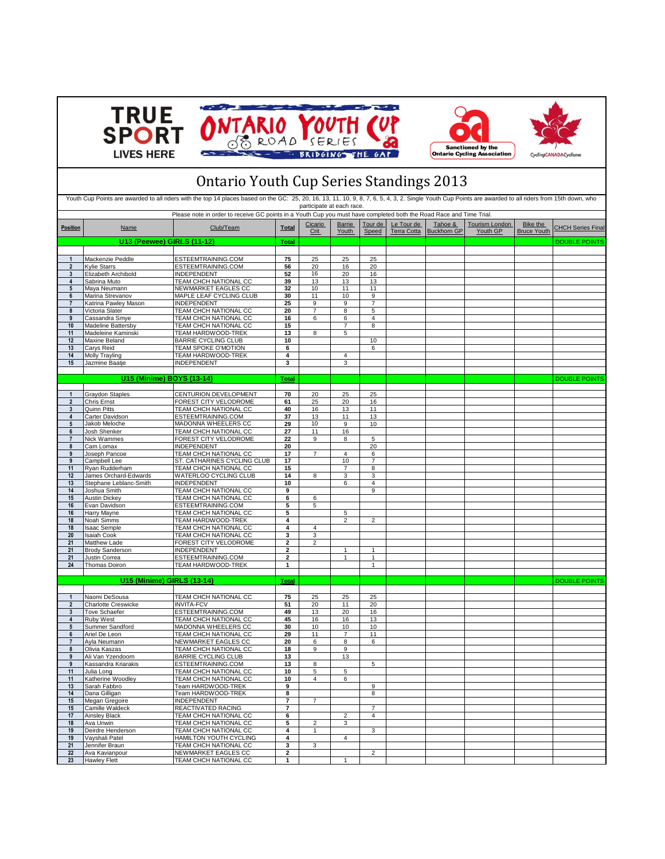







## Ontario Youth Cup Series Standings 2013

|                              |                                            | Please note in order to receive GC points in a Youth Cup you must have completed both the Road Race and Time Trial. |                | participate at each race. |                 |                         |                           |                               |                            |                                |                          |
|------------------------------|--------------------------------------------|---------------------------------------------------------------------------------------------------------------------|----------------|---------------------------|-----------------|-------------------------|---------------------------|-------------------------------|----------------------------|--------------------------------|--------------------------|
| <b>Position</b>              | <b>Name</b>                                | Club/Team                                                                                                           | Total          | Cicario<br>Crit           | Barrie<br>Youth | Tour de<br>Speed        | Le Tour de<br>Terra Cotta | Tahoe &<br><b>Buckhorn GP</b> | Tourism London<br>Youth GP | Bike the<br><b>Bruce Youth</b> | <b>CHCH Series Final</b> |
|                              | <b>U13 (Peewee) GIRLS (11-12)</b>          |                                                                                                                     | <b>Total</b>   |                           |                 |                         |                           |                               |                            |                                | <b>DOUBLE POINTS</b>     |
|                              |                                            |                                                                                                                     |                |                           |                 |                         |                           |                               |                            |                                |                          |
| $\mathbf{1}$                 | Mackenzie Peddle                           | ESTEEMTRAINING.COM                                                                                                  | 75             | 25                        | 25              | 25                      |                           |                               |                            |                                |                          |
| $\overline{\mathbf{2}}$<br>3 | <b>Kylie Starrs</b><br>Elizabeth Archibold | ESTEEMTRAINING.COM<br>INDEPENDENT                                                                                   | 56<br>52       | 20<br>16                  | 16<br>20        | 20<br>16                |                           |                               |                            |                                |                          |
| $\overline{\mathbf{4}}$      | Sabrina Muto                               | TEAM CHCH NATIONAL CC                                                                                               | 39             | 13                        | 13              | 13                      |                           |                               |                            |                                |                          |
| $5\phantom{.0}$              | Maya Neumann                               | NEWMARKET EAGLES CC                                                                                                 | 32             | 10                        | 11              | 11                      |                           |                               |                            |                                |                          |
| 6                            | Marina Strevanov                           | MAPLE LEAF CYCLING CLUB                                                                                             | 30             | 11                        | 10              | 9                       |                           |                               |                            |                                |                          |
| $\overline{7}$<br>8          | Katrina Pawlev Mason                       | INDEPENDENT<br>TEAM CHCH NATIONAL CC                                                                                | 25             | 9<br>$\overline{7}$       | 9               | $\overline{7}$          |                           |                               |                            |                                |                          |
| 9                            | Victoria Slater<br>Cassandra Smye          | TEAM CHCH NATIONAL CC                                                                                               | 20<br>16       | 6                         | 8<br>6          | 5<br>4                  |                           |                               |                            |                                |                          |
| 10                           | Madeline Battersby                         | TEAM CHCH NATIONAL CC                                                                                               | 15             |                           | 7               | 8                       |                           |                               |                            |                                |                          |
| 11                           | Madeleine Kaminski                         | TEAM HARDWOOD-TREK                                                                                                  | 13             | 8                         | 5               |                         |                           |                               |                            |                                |                          |
| 12                           | Maxine Beland                              | <b>BARRIE CYCLING CLUB</b>                                                                                          | 10             |                           |                 | $10$                    |                           |                               |                            |                                |                          |
| 13<br>14                     | Carys Reid                                 | TEAM SPOKE O'MOTION<br><b>TEAM HARDWOOD-TREK</b>                                                                    | 6<br>4         |                           | 4               | 6                       |                           |                               |                            |                                |                          |
| 15                           | Molly Trayling<br>Jazmine Baatje           | <b>INDEPENDENT</b>                                                                                                  | 3              |                           | 3               |                         |                           |                               |                            |                                |                          |
|                              |                                            |                                                                                                                     |                |                           |                 |                         |                           |                               |                            |                                |                          |
|                              | U15 (Minime) BOYS (13-14)                  |                                                                                                                     | <b>Total</b>   |                           |                 |                         |                           |                               |                            |                                | <b>DOUBLE POINTS</b>     |
|                              |                                            |                                                                                                                     |                |                           |                 |                         |                           |                               |                            |                                |                          |
| 1                            | <b>Graydon Staples</b>                     | CENTURION DEVELOPMENT                                                                                               | 70             | 20                        | 25              | 25                      |                           |                               |                            |                                |                          |
| $\overline{2}$<br>3          | Chris Ernst<br>Quinn Pitts                 | FOREST CITY VELODROME<br>TEAM CHCH NATIONAL CC                                                                      | 61<br>40       | 25<br>16                  | 20<br>13        | 16<br>11                |                           |                               |                            |                                |                          |
| 4                            | Carter Davidson                            | ESTEEMTRAINING.COM                                                                                                  | 37             | 13                        | 11              | 13                      |                           |                               |                            |                                |                          |
| $5\phantom{.0}$              | Jakob Meloche                              | MADONNA WHEELERS CC                                                                                                 | 29             | 10                        | 9               | 10                      |                           |                               |                            |                                |                          |
| 6                            | Josh Shenker                               | TEAM CHCH NATIONAL CC                                                                                               | 27             | 11                        | 16              |                         |                           |                               |                            |                                |                          |
| $\overline{7}$               | Nick Wammes                                | FOREST CITY VELODROME                                                                                               | 22             | 9                         | 8               | 5                       |                           |                               |                            |                                |                          |
| 8<br>9                       | Cam Lomax<br>Joseph Pancoe                 | <b>INDEPENDENT</b><br>TEAM CHCH NATIONAL CC                                                                         | 20<br>17       | $\overline{7}$            | $\overline{4}$  | 20<br>6                 |                           |                               |                            |                                |                          |
| 9                            | Campbell Lee                               | ST. CATHARINES CYCLING CLUB                                                                                         | 17             |                           | 10              | $\overline{7}$          |                           |                               |                            |                                |                          |
| 11                           | Ryan Rudderham                             | TEAM CHCH NATIONAL CC                                                                                               | 15             |                           | 7               | 8                       |                           |                               |                            |                                |                          |
| 12                           | James Orchard-Edwards                      | <b>WATERLOO CYCLING CLUB</b>                                                                                        | 14             | 8                         | 3               | 3                       |                           |                               |                            |                                |                          |
| 13                           | Stephane Leblanc-Smith                     | <b>INDEPENDENT</b>                                                                                                  | 10             |                           | 6               | 4                       |                           |                               |                            |                                |                          |
| 14<br>15                     | Joshua Smith<br>Austin Dickey              | TEAM CHCH NATIONAL CC<br>TEAM CHCH NATIONAL CC                                                                      | 9<br>6         | 6                         |                 | 9                       |                           |                               |                            |                                |                          |
| 16                           | Evan Davidson                              | ESTEEMTRAINING.COM                                                                                                  | 5              | 5                         |                 |                         |                           |                               |                            |                                |                          |
| 16                           | Harry Mayne                                | TEAM CHCH NATIONAL CC                                                                                               | 5              |                           | 5               |                         |                           |                               |                            |                                |                          |
| 18                           | Noah Simms                                 | TEAM HARDWOOD-TREK                                                                                                  | 4              |                           | $\overline{2}$  | $\overline{\mathbf{c}}$ |                           |                               |                            |                                |                          |
| 18                           | <b>Isaac Semple</b>                        | TEAM CHCH NATIONAL CC                                                                                               | 4              | 4                         |                 |                         |                           |                               |                            |                                |                          |
| 20<br>21                     | <b>Isaiah Cook</b><br>Matthew Lade         | TEAM CHCH NATIONAL CC<br>FOREST CITY VELODROME                                                                      | 3<br>2         | 3<br>$\overline{c}$       |                 |                         |                           |                               |                            |                                |                          |
| 21                           | Brody Sanderson                            | INDEPENDENT                                                                                                         | $\overline{2}$ |                           | 1               | 1                       |                           |                               |                            |                                |                          |
| 21                           | Justin Correa                              | ESTEEMTRAINING.COM                                                                                                  | 2              |                           | $\mathbf{1}$    | $\mathbf{1}$            |                           |                               |                            |                                |                          |
| 24                           | Thomas Doiron                              | TEAM HARDWOOD-TREK                                                                                                  | 1              |                           |                 | $\overline{1}$          |                           |                               |                            |                                |                          |
|                              |                                            |                                                                                                                     |                |                           |                 |                         |                           |                               |                            |                                |                          |
|                              | U15 (Minime) GIRLS (13-14)                 |                                                                                                                     | Total          |                           |                 |                         |                           |                               |                            |                                | <b>DOUBLE POINTS</b>     |
| $\mathbf{1}$                 | Naomi DeSousa                              | TEAM CHCH NATIONAL CC                                                                                               | 75             | 25                        | 25              | 25                      |                           |                               |                            |                                |                          |
| $\overline{2}$               | <b>Charlotte Creswicke</b>                 | <b>INVITA-FCV</b>                                                                                                   | 51             | 20                        | 11              | 20                      |                           |                               |                            |                                |                          |
| $\mathbf{3}$                 | <b>Tove Schaefer</b>                       | ESTEEMTRAINING.COM                                                                                                  | 49             | 13                        | 20              | 16                      |                           |                               |                            |                                |                          |
| 4                            | <b>Ruby West</b>                           | TEAM CHCH NATIONAL CC                                                                                               | 45             | 16                        | 16              | 13                      |                           |                               |                            |                                |                          |
| $5\phantom{.0}$              | Summer Sandford                            | MADONNA WHEELERS CC                                                                                                 | 30             | 10                        | 10              | 10                      |                           |                               |                            |                                |                          |
| 6<br>$\overline{7}$          | Ariel De Leon<br>Ayla Neumann              | TEAM CHCH NATIONAL CC<br>NEWMARKET EAGLES CC                                                                        | 29<br>20       | 11<br>6                   | 7<br>8          | 11<br>6                 |                           |                               |                            |                                |                          |
| 8                            | Olivia Kaszas                              | TEAM CHCH NATIONAL CC                                                                                               | 18             | 9                         | 9               |                         |                           |                               |                            |                                |                          |
| 9                            | Ali Van Yzendoorn                          | <b>BARRIE CYCLING CLUB</b>                                                                                          | 13             |                           | 13              |                         |                           |                               |                            |                                |                          |
| 9                            | Kassandra Kriarakis                        | ESTEEMTRAINING.COM                                                                                                  | 13             | 8                         |                 | 5                       |                           |                               |                            |                                |                          |
| 11                           | Julia Long                                 | TEAM CHCH NATIONAL CC                                                                                               | 10             | 5                         | 5<br>R.         |                         |                           |                               |                            |                                |                          |
| 11<br>13                     | Katherine Woodley<br>Sarah Fabbro          | TEAM CHCH NATIONAL CC<br>Team HARDWOOD-TREK                                                                         | 10<br>9        |                           |                 | 9                       |                           |                               |                            |                                |                          |
| 14                           | Dana Gilligan                              | Team HARDWOOD-TREK                                                                                                  | 8              |                           |                 | 8                       |                           |                               |                            |                                |                          |
| 15                           | Megan Gregoire                             | <b>INDEPENDENT</b>                                                                                                  | 7              | $\overline{7}$            |                 |                         |                           |                               |                            |                                |                          |
| 15                           | Camille Waldeck                            | REACTIVATED RACING                                                                                                  | 7              |                           |                 | $\overline{7}$          |                           |                               |                            |                                |                          |
| 17                           | Ainsley Black                              | TEAM CHCH NATIONAL CC                                                                                               | 6              |                           | 2               | $\overline{4}$          |                           |                               |                            |                                |                          |
| 18<br>19                     | Ava Unwin<br>Deirdre Henderson             | TEAM CHCH NATIONAL CC<br>TEAM CHCH NATIONAL CC                                                                      | 5<br>4         | $\overline{2}$<br>1       | 3               | 3                       |                           |                               |                            |                                |                          |
| 19                           | Vayshali Patel                             | HAMILTON YOUTH CYCLING                                                                                              | 4              |                           | 4               |                         |                           |                               |                            |                                |                          |
| 21                           | Jennifer Braun                             | TEAM CHCH NATIONAL CC                                                                                               | 3              | 3                         |                 |                         |                           |                               |                            |                                |                          |
| 22                           | Ava Kavianpour                             | NEWMARKET EAGLES CC                                                                                                 | $\mathbf 2$    |                           |                 | $\overline{c}$          |                           |                               |                            |                                |                          |
| 23                           | <b>Hawley Flett</b>                        | TEAM CHCH NATIONAL CC                                                                                               | 1              |                           | $\mathbf{1}$    |                         |                           |                               |                            |                                |                          |